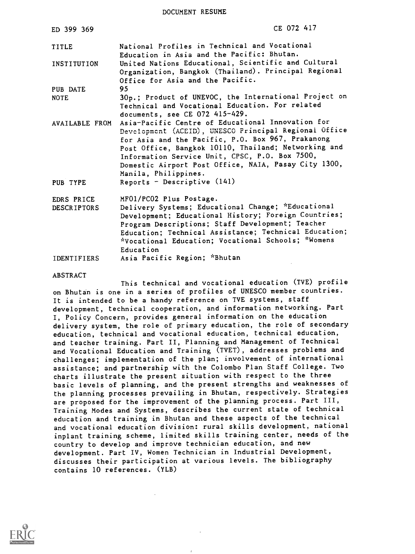DOCUMENT RESUME

| ED 399 369                       | CE 072 417                                                                                                                                                                                                                                                                                                                                                                                 |
|----------------------------------|--------------------------------------------------------------------------------------------------------------------------------------------------------------------------------------------------------------------------------------------------------------------------------------------------------------------------------------------------------------------------------------------|
| <b>TITLE</b>                     | National Profiles in Technical and Vocational                                                                                                                                                                                                                                                                                                                                              |
| INSTITUTION                      | Education in Asia and the Pacific: Bhutan.<br>United Nations Educational, Scientific and Cultural<br>Organization, Bangkok (Thailand). Principal Regional                                                                                                                                                                                                                                  |
| <b>PUB DATE</b>                  | Office for Asia and the Pacific.<br>95                                                                                                                                                                                                                                                                                                                                                     |
| <b>NOTE</b>                      | 30p.; Product of UNEVOC, the International Project on<br>Technical and Vocational Education. For related<br>documents, see CE 072 415-429.                                                                                                                                                                                                                                                 |
| AVAILABLE FROM<br>PUB TYPE       | Asia-Pacific Centre of Educational Innovation for<br>Development (ACEID), UNESCO Principal Regional Office<br>for Asia and the Pacific, P.O. Box 967, Prakanong<br>Post Office, Bangkok 10110, Thailand; Networking and<br>Information Service Unit, CPSC, P.O. Box 7500,<br>Domestic Airport Post Office, NAIA, Pasay City 1300,<br>Manila, Philippines.<br>Reports - Descriptive $(141)$ |
| EDRS PRICE<br><b>DESCRIPTORS</b> | MF01/PC02 Plus Postage.<br>Delivery Systems; Educational Change; *Educational<br>Development; Educational History; Foreign Countries;<br>Program Descriptions; Staff Development; Teacher<br>Education; Technical Assistance; Technical Education;<br>*Vocational Education; Vocational Schools; *Womens<br>Education                                                                      |
| <b>IDENTIFIERS</b>               | Asia Pacific Region; *Bhutan                                                                                                                                                                                                                                                                                                                                                               |
| <b>ABSTRACT</b>                  |                                                                                                                                                                                                                                                                                                                                                                                            |

This technical and vocational education (TVE) profile on Bhutan is one in a series of profiles of UNESCO member countries. It is intended to be a handy reference on TVE systems, staff development, technical cooperation, and information networking. Part I, Policy Concern, provides general information on the education delivery system, the role of primary education, the role of secondary education, technical and vocational education, technical education, and teacher training. Part II, Planning and Management of Technical and Vocational Education and Training (TVET), addresses problems and challenges; implementation of the plan; involvement of international assistance; and partnership with the Colombo Plan Staff College. Two charts illustrate the present situation with respect to the three basic levels of planning, and the present strengths and weaknesses of the planning processes prevailing in Bhutan, respectively. Strategies are proposed for the improvement of the planning process. Part III, Training Modes and Systems, describes the current state of technical education and training in Bhutan and these aspects of the technical and vocational education division: rural skills development, national inplant training scheme, limited skills training center, needs of the country to develop and improve technician education, and new development. Part IV, Women Technician in Industrial Development, discusses their participation at various levels. The bibliography contains 10 references. (YLB)

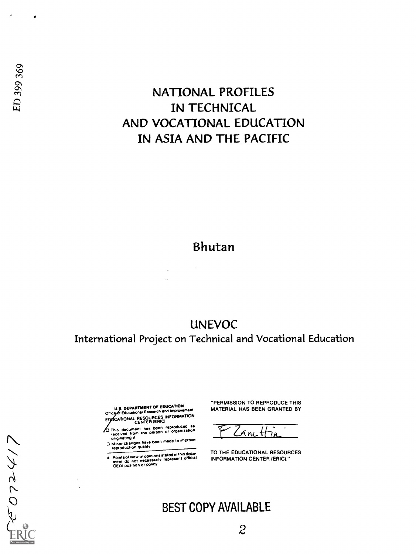# NATIONAL PROFILES Seconds<br>
Seconds<br>
IN TECHNICAL<br>
IN TECHNICAL AND VOCATIONAL EDUCATION IN ASIA AND THE PACIFIC

## Bhutan

UNEVOC International Project on Technical and Vocational Education

> U.S. DEPARTMENT OF EDUCATION<br>Office of Educational Research and Improvement EDOCATIONAL RESOURCES INFORMATION

 $\overline{Q}$ 

LIACLOS

This document has been reproduCed 55 received from the person or organization originating d.

originality<br>
C Minor changes have been made to improve<br>
conginality<br>
Circumstrians

Point of view or opinions slated in this dottr mom <sup>s</sup>do not necessarily represent official OERI position or policy

"PERMISSION TO REPRODUCE THIS MATERIAL HAS BEEN GRANTED BY

 $Z$  ant  $H_{\mu}$ 

TO THE EDUCATIONAL RESOURCES INFORMATION CENTER (ERIC)."

## BEST COPY AVAILABLE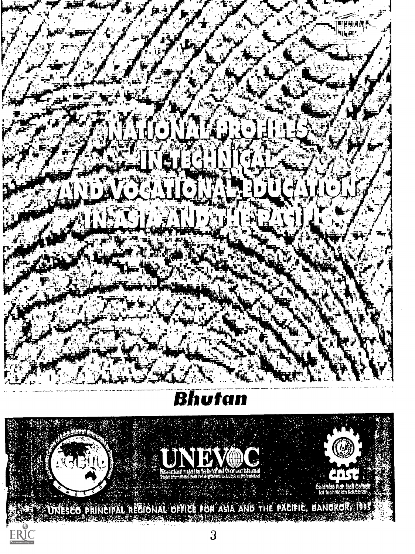

# Bhutan

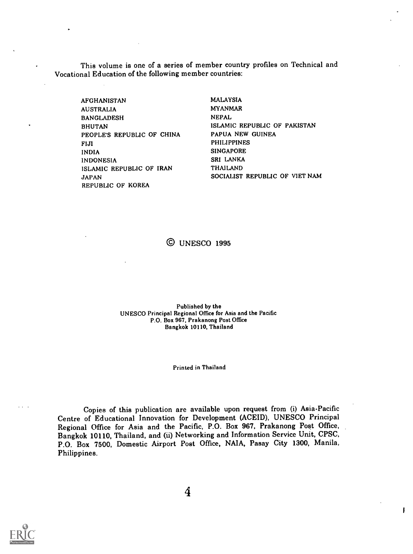This volume is one of a series of member country profiles on Technical and Vocational Education of the following member countries:

AFGHANISTAN AUSTRALIA BANGLADESH BHUTAN PEOPLE'S REPUBLIC OF CHINA FIJI INDIA INDONESIA ISLAMIC REPUBLIC OF IRAN JAPAN REPUBLIC OF KOREA

MALAYSIA MYANMAR NEPAL ISLAMIC REPUBLIC OF PAKISTAN PAPUA NEW GUINEA PHILIPPINES SINGAPORE SRI LANKA THAILAND SOCIALIST REPUBLIC OF VIET NAM

ŧ

## © UNESCO 1995

Published by the UNESCO Principal Regional Office for Asia and the Pacific P.O. Box 967, Prakanong Post Office Bangkok 10110, Thailand

#### Printed in Thailand

Copies of this publication are available upon request from (i) Asia-Pacific Centre of Educational Innovation for Development (ACEID), UNESCO Principal Regional Office for Asia and the Pacific, P.O. Box 967, Prakanong Post Office, Bangkok 10110, Thailand, and (ii) Networking and Information Service Unit, CPSC, P.O. Box 7500, Domestic Airport Post Office, NAIA, Pasay City 1300, Manila, Philippines.

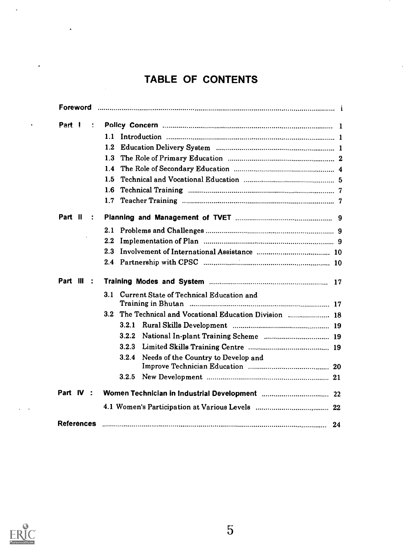## TABLE OF CONTENTS

| Foreword                  |                                                         |
|---------------------------|---------------------------------------------------------|
| Part I                    |                                                         |
|                           | 1.1                                                     |
|                           | 1.2                                                     |
|                           | 1.3                                                     |
|                           | 1.4                                                     |
|                           | 1.5                                                     |
|                           | 1.6                                                     |
|                           | 1.7                                                     |
| Part II<br>$\ddot{\cdot}$ |                                                         |
|                           |                                                         |
|                           | $2.2\,$                                                 |
|                           | 23                                                      |
|                           |                                                         |
| Part III :                |                                                         |
|                           | 3.1 Current State of Technical Education and            |
|                           | 3.2 The Technical and Vocational Education Division  18 |
|                           | 3.2.1                                                   |
|                           | 3.2.2                                                   |
|                           | 3.2.3                                                   |
|                           | Needs of the Country to Develop and<br>3.2.4            |
|                           |                                                         |
|                           | 3.2.5                                                   |
| Part IV :                 |                                                         |
|                           |                                                         |
| <b>References</b>         |                                                         |



l.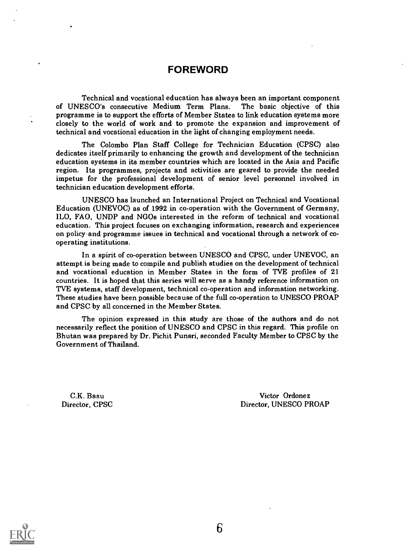## FOREWORD

Technical and vocational education has always been an important component of UNESCO's consecutive Medium Term Plans. programme is to support the efforts of Member States to link education systems more closely to the world of work and to promote the expansion and improvement of technical and vocational education in the light of changing employment needs.

The Colombo Plan Staff College for Technician Education (CPSC) also dedicates itself primarily to enhancing the growth and development of the technician education systems in its member countries which are located in the Asia and Pacific region. Its programmes, projects and activities are geared to provide the needed impetus for the professional development of senior level personnel involved in technician education development efforts.

UNESCO has launched an International Project on Technical and Vocational Education (UNEVOC) as of 1992 in co-operation with the Government of Germany, ILO, FAO, UNDP and NGOs interested in the reform of technical and vocational education. This project focuses on exchanging information, research and experiences on policy-and programme issues in technical and vocational through a network of cooperating institutions.

In a spirit of co-operation between UNESCO and CPSC, under UNEVOC, an attempt is being made to compile and publish studies on the development of technical and vocational education in Member States in the form of TVE profiles of 21 countries. It is hoped that this series will serve as a handy reference information on TVE systems, staff development, technical co-operation and information networking. These studies have been possible because of the full co-operation to UNESCO PROAP and CPSC by all concerned in the Member States.

The opinion expressed in this study are those of the authors and do not necessarily reflect the position of UNESCO and CPSC in this regard. This profile on Bhutan was prepared by Dr. Pichit Punsri, seconded Faculty Member to CPSC by the Government of Thailand.

C.K. Basu Director, CPSC

Victor Ordonez Director, UNESCO PROAP

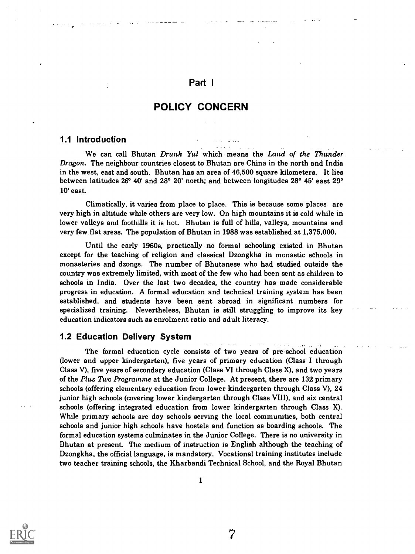## Part <sup>I</sup>

## POLICY CONCERN

#### 1.1 Introduction

We can call Bhutan Drunk Yul which means the Land of the Thunder Dragon. The neighbour countries closest to Bhutan are China in the north and India in the west, east and south. Bhutan has an area of 46,500 square kilometers. It lies between latitudes 26° 40' and 28° 20' north; and between longitudes 28° 45' east 29° 10' east.

Climatically, it varies from place to place. This is because some places are very high in altitude while others are very low. On high mountains it is cold while in lower valleys and foothills it is hot. Bhutan is full of hills, valleys, mountains and very few flat areas. The population of Bhutan in 1988 was established at 1,375,000.

Until the early 1960s, practically no formal schooling existed in Bhutan except for the teaching of religion and classical Dzongkha in monastic schools in monasteries and dzongs. The number of Bhutanese who had studied outside the country was extremely limited, with most of the few who had been sent as children to schools in India. Over the last two decades, the country has made considerable progress in education. A formal education and technical training system has been established, and students have been sent abroad in significant numbers for specialized training. Nevertheless, Bhutan is still struggling to improve its key education indicators such as enrolment ratio and adult literacy.

## 1.2 Education Delivery System

The formal education cycle consists of two years of pre-school education (lower and upper kindergarten), five years of primary education (Class I through Class V), five years of secondary education (Class VI through Class X), and two years of the Plus Two Programme at the Junior College. At present, there are 132 primary schools (offering elementary education from lower kindergarten through Class V), 24 junior high schools (covering lower kindergarten through Class VIII), and six central schools (offering integrated education from lower kindergarten through Class X). While primary schools are day schools serving the local communities, both central schools and junior high schools have hostels and function as boarding schools. The formal education systems culminates in the Junior College. There is no university in Bhutan at present. The medium of instruction is English although the teaching of Dzongkha, the official language, is mandatory. Vocational training institutes include two teacher training schools, the Kharbandi Technical School, and the Royal Bhutan

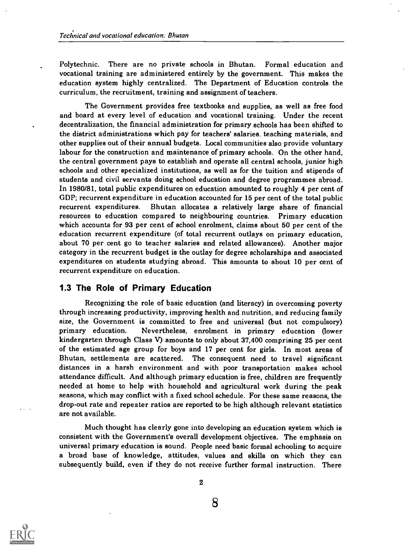Polytechnic. There are no private schools in Bhutan. Formal education and vocational training are administered entirely by the government. This makes the education system highly centralized. The Department of Education controls the curriculum, the recruitment, training and assignment of teachers.

The Government provides free textbooks and supplies, as well as free food and board at every level of education and vocational training. Under the recent decentralization, the financial administration for primary schools has been shifted to the district administrations which pay for teachers' salaries. teaching materials, and other supplies out of their annual budgets. Local communities also provide voluntary labour for the construction and maintenance of primary schools. On the other hand, the central government pays to establish and operate all central schools, junior high schools and other specialized institutions, as well as for the tuition and stipends of students and civil servants doing school education and degree programmes abroad. In 1980/81, total public expenditures on education amounted to roughly 4 per cent of GDP; recurrent expenditure in education accounted for 15 per cent of the total public recurrent expenditures. Bhutan allocates a relatively large share of financial resources to education compared to neighbouring countries. Primary education which accounts for 93 per cent of school enrolment, claims about 50 per cent of the education recurrent expenditure (of total recurrent outlays on primary education, about 70 per cent go to teacher salaries and related allowances). Another major category in the recurrent budget is the outlay for degree scholarships and associated expenditures on students studying abroad. This amounts to about 10 per cent of recurrent expenditure on education.

## 1.3 The Role of Primary Education

Recognizing the role of basic education (and literacy) in overcoming poverty through increasing productivity, improving health and nutrition, and reducing family size, the Government is committed to free and universal (but not compulsory) primary education. Nevertheless, enrolment in primary education (lower kindergarten through Class V) amounts to only about 37,400 comprising 25 per cent of the estimated age group for boys and 17 per cent for girls. In most areas of Bhutan, settlements are scattered. The consequent need to travel significant distances in a harsh environment and with poor transportation makes school attendance difficult. And although primary education is free, children are frequently needed at home to help with household and agricultural work during the peak seasons, which may conflict with a fixed school schedule. For these same reasons, the drop-out rate and repeater ratios are reported to be high although relevant statistics are not available.

Much thought has clearly gone into developing an education system which is consistent with the Government's overall development objectives. The emphasis on universal primary education is sound. People need basic formal schooling to acquire a broad base of knowledge, attitudes, values and skills on which they can subsequently build, even if they do not receive further formal instruction. There



2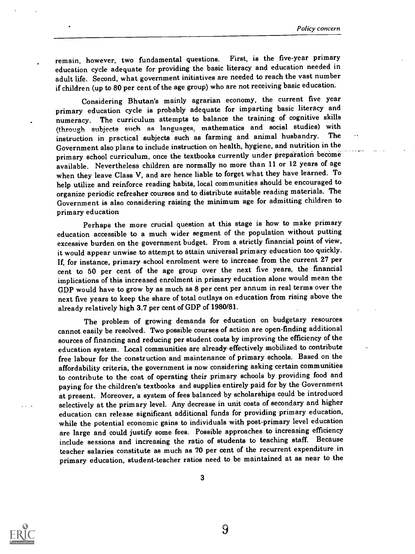remain, however, two fundamental questions. First, is the five-year primary education cycle adequate for providing the basic literacy and education needed in adult life. Second, what government initiatives are needed to reach the vast number if children (up to 80 per cent of the age group) who are not receiving basic education.

Considering Bhutan's mainly agrarian economy, the current five year primary education cycle is probably adequate for imparting basic literacy and numeracy. The curriculum attempts to balance the training of cognitive skills (through subjects such as languages, mathematics and social studies) with<br>instruction in prestical subjects such as farming and animal husbandry. The instruction in practical subjects such as farming and animal husbandry. Government also plans to include instruction on health, hygiene, and nutrition in the primary school curriculum, once the textbooks currently under preparation become available. Nevertheless children are normally no more than 11 or 12 years of age when they leave Class V, and are hence liable to forget what they have learned. To help utilize and reinforce reading habits, local communities should be encouraged to organize periodic refresher courses and to distribute suitable reading materials. The Government is also considering raising the minimum age for admitting children to primary education

Perhaps the more crucial question at this stage is how to make primary education accessible to a much wider segment of the population without putting excessive burden on the government budget. From a strictly financial point of view, it would appear unwise to attempt to attain universal primary education too quickly. If, for instance, primary school enrolment were to increase from the current 27 per cent to 50 per cent of the age group over the next five years, the financial implications of this increased enrolment in primary education alone would mean the GDP would have to grow by as much as 8 per cent per annum in real terms over the next five years to keep the share of total outlays on education from rising above the already relatively high 3.7 per cent of GDP of 1980/81.

The problem of growing demands for education on budgetary resources cannot easily be resolved. Two possible courses of action are open-finding additional sources of financing and reducing per student costs by improving the efficiency of the education system. Local communities are already- effectively mobilized to contribute free labour for the construction and maintenance of primary schools. Based on the affordability criteria, the government is now considering asking certain communities to contribute to the cost of operating their primary schools by providing food and paying for the children's textbooks and supplies entirely paid for by the Government at present. Moreover, a system of fees balanced by scholarships could be introduced selectively at the primary level. Any decrease in unit costs of secondary and higher education can release significant additional funds for providing primary education, while the potential economic gains to individuals with post-primary level education are large and could justify some fees. Possible approaches to increasing efficiency include sessions and increasing the ratio of students to teaching staff. Because teacher salaries constitute as much as 70 per cent of the recurrent expenditure in primary education, student-teacher ratios need to be maintained at as near to the

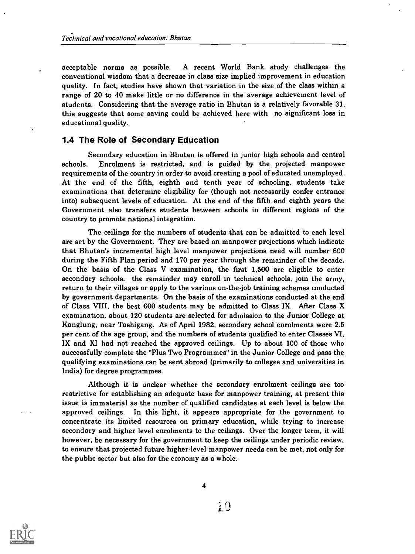acceptable norms as possible. A recent World Bank study challenges the conventional wisdom that a decrease in class size implied improvement in education quality. In fact, studies have shown that variation in the size of the class within a range of 20 to 40 make little or no difference in the average achievement level of students. Considering that the average ratio in Bhutan is a relatively favorable 31, this suggests that some saving could be achieved here with no significant loss in educational quality.

## 1.4 The Role of Secondary Education

Secondary education in Bhutan is offered in junior high schools and central schools. Enrolment is restricted, and is guided by the projected manpower requirements of the country in order to avoid creating a pool of educated unemployed. At the end of the fifth, eighth and tenth year of schooling, students take examinations that determine eligibility for (though not necessarily confer entrance into) subsequent levels of education. At the end of the fifth and eighth years the Government also transfers students between schools in different regions of the country to promote national integration.

The ceilings for the numbers of students that can be admitted to each level are set by the Government. They are based on manpower projections which indicate that Bhutan's incremental high level manpower projections need will number 600 during the Fifth Plan period and 170 per year through the remainder of the decade. On the basis of the Class V examination, the first 1,500 are eligible to enter secondary schools. the remainder may enroll in technical schools, join the army, return to their villages or apply to the various on-the-job training schemes conducted by government departments. On the basis of the examinations conducted at the end of Class VIII, the best 600 students may be admitted to Class IX. After Class X examination, about 120 students are selected for admission to the Junior College at Kanglung, near Tashigang. As of April 1982, secondary school enrolments were 2.5 per cent of the age group, and the numbers of students qualified to enter Classes VI, IX and XI had not reached the approved ceilings. Up to about 100 of those who successfully complete the "Plus Two Programmes" in the Junior College and pass the qualifying examinations can be sent abroad (primarily to colleges and universities in India) for degree programmes.

Although it is unclear whether the secondary enrolment ceilings are too restrictive for establishing an adequate base for manpower training, at present this issue is immaterial as the number of qualified candidates at each level is below the approved ceilings. In this light, it appears appropriate for the government to concentrate its limited resources on primary education, while trying to increase secondary and higher level enrolments to the ceilings. Over the longer term, it will however, be necessary for the government to keep the ceilings under periodic review, to ensure that projected future higher-level manpower needs can be met, not only for the public sector but also for the economy as a whole.

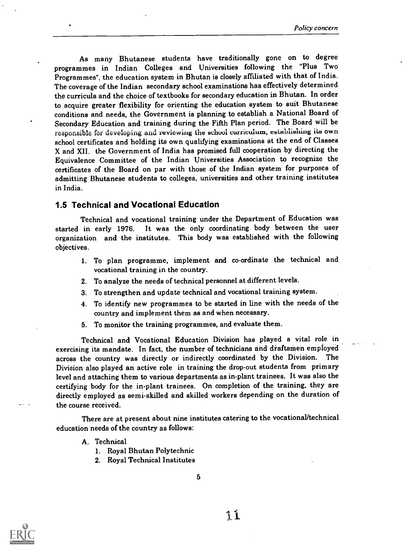As many Bhutanese students have traditionally gone on to degree programmes in Indian Colleges and Universities following the "Plus Two Programmes", the education system in Bhutan is closely affiliated with that of India. The coverage of the Indian secondary school examinations has effectively determined the curricula and the choice of textbooks for secondary education in Bhutan. In order to acquire greater flexibility for orienting the education system to suit Bhutanese conditions and needs, the Government is planning to establish a National Board of Secondary Education and training during the Fifth Plan period. The Board will be responsible for developing and reviewing the school curriculum, establishing its own school certificates and holding its own qualifying examinations at the end of Classes X and XII. the Government of India has promised full cooperation by directing the Equivalence Committee of the Indian Universities Association to recognize the certificates of the Board on par with those of the Indian system for purposes of admitting Bhutanese students to colleges, universities and other training institutes in India.

### 1.5 Technical and Vocational Education

Technical and vocational training under the Department of Education was started in early 1976. It was the only coordinating body between the user organization and the institutes. This body was established with the following objectives.

- 1. To plan programme, implement and co-ordinate the technical and vocational training in the country.
- 2. To analyze the needs of technical personnel at different levels.
- 3. To strengthen and update technical and vocational training system.
- 4. To identify new programmes to be started in line with the needs of the country and implement them as and when necessary.
- 5. To monitor the training programmes, and evaluate them.

Technical and Vocational Education Division has played a vital role in exercising its mandate. In fact, the number of technicians and diaftsmen employed across the country was directly or indirectly coordinated by the Division. The Division also played an active role in training the drop-out students from primary level and attaching them to various departments as in-plant trainees. It was also the certifying body for the in-plant trainees. On completion of the training, they are directly employed as semi-skilled and skilled workers depending on the duration of the course received.

There are at present about nine institutes catering to the vocational/technical education needs of the country as follows:

- A. Technical
	- 1. Royal Bhutan Polytechnic
	- 2. Royal Technical Institutes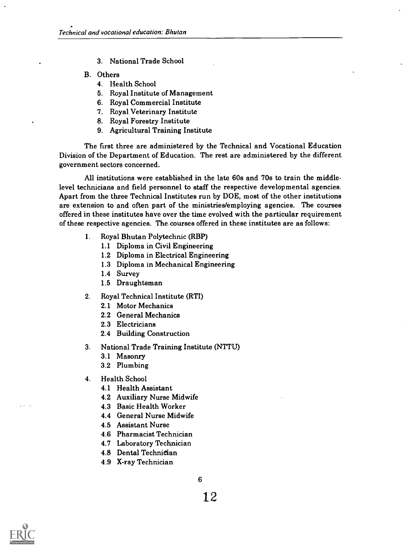- 3. National Trade School
- B. Others
	- 4. Health School
	- 5. Royal Institute of Management
	- 6. Royal Commercial Institute
	- 7. Royal Veterinary Institute
	- 8. Royal Forestry Institute
	- 9. Agricultural Training Institute

The first three are administered by the Technical and Vocational Education Division of the Department of Education. The rest are administered by the different government sectors concerned.

All institutions were established in the late 60s and 70s to train the middlelevel technicians and field personnel to staff the respective developmental agencies. Apart from the three Technical Institutes run by DOE, most of the other institutions are extension to and often part of the ministries/employing agencies. The courses offered in these institutes have over the time evolved with the particular requirement of these respective agencies. The.courses offered in these institutes are as follows:

- 1. Royal Bhutan Polytechnic (RBP)
	- 1.1 Diploma in Civil Engineering
	- 1.2 Diploma in Electrical Engineering
	- 1.3 Diploma in Mechanical Engineering
	- 1.4 Survey
	- 1.5 Draughtsman
- 2. Royal Technical Institute (RTI)
	- 2.1 Motor Mechanics
	- 2.2 General Mechanics
	- 2.3 Electricians
	- 2.4 Building Construction
- 3. National Trade Training Institute (NTTU)
	- 3.1 Masonry
	- 3.2 Plumbing
- 4. Health School
	- 4.1 Health Assistant
	- 4.2 Auxiliary Nurse Midwife
	- 4.3 Basic Health Worker
	- 4.4 General Nurse Midwife
	- 4.5 Assistant Nurse
	- 4.6 Pharmacist Technician
	- 4.7 Laboratory Technician
	- 4.8 Dental Technician
	- 4.9 X-ray Technician



6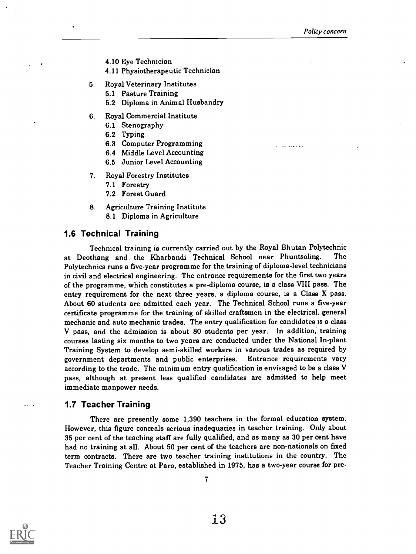المتعادين

- 4.10 Eye Technician
- 4.11 Physiotherapeutic Technician
- 5. Royal Veterinary Institutes
	- 5.1 Pasture Training
	- 5.2 Diploma in Animal Husbandry
- 6. Royal Commercial Institute
	- 6.1 Stenography
	- 6.2 Typing
	- 6.3 Computer Programming
	- 6.4 Middle Level Accounting
	- 6.5 Junior Level Accounting
- 7. Royal Forestry Institutes
	- 7.1 Forestry
	- 7.2 Forest Guard
- 8. Agriculture Training Institute 8.1 Diploma in Agriculture

### 1.6 Technical Training

Technical training is currently carried out by the Royal Bhutan Polytechnic at Deothang and the Kharbandi Technical School near Phuntsoling. The Polytechnics runs a five-year programme for the training of diploma-level technicians in civil and electrical engineering. The entrance requirements for the first two years of the programme, which constitutes a pre-diploma course, is a class VIII pass. The entry requirement for the next three years, a diploma course, is a Class X pass. About 60 students are admitted each year. The Technical School runs a five-year certificate programme for the training of skilled craftsmen in the electrical, general mechanic and auto mechanic trades. The entry qualification for candidates is a class V pass, and the admission is about 80 students per year. In addition; training courses lasting six months to two years are conducted under the National In-plant Training System to develop semi-skilled workers in various trades as required by government departments and public enterprises. Entrance requirements vary according to the trade. The minimum entry qualification is envisaged to be a class V pass, although at present less qualified candidates are admitted to help meet immediate manpower needs.

### 1.7 Teacher Training

There are presently some 1,390 teachers in the formal education system. However, this figure conceals serious inadequacies in teacher training. Only about 35 per cent of the teaching staff are fully qualified, and as many as 30 per cent have had no training at all. About 50 per cent of the teachers are non-nationals on fixed term contracts. There are two teacher training institutions in the country. The Teacher Training Centre at Paro, established in 1975, has a two-year course for pre-

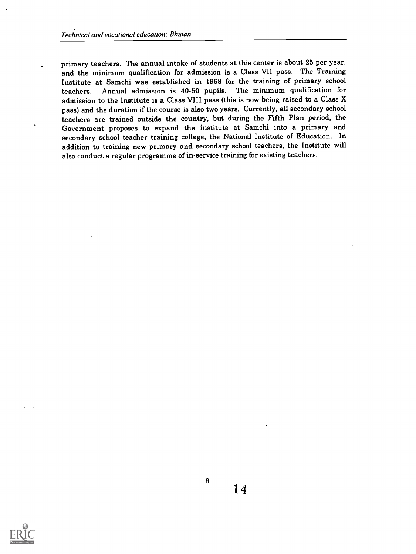primary teachers. The annual intake of students at this center is about 25 per year, and the minimum qualification for admission is a Class VII pass. The Training Institute at Samchi was established in 1968 for the training of primary school teachers. Annual admission is 40-50 pupils. The minimum qualification for admission to the Institute is a Class VIII pass (this is now being raised to a Class X pass) and the duration if the course is also two years. Currently, all secondary school teachers are trained outside the country, but during the Fifth Plan period, the Government proposes to expand the institute at Samchi into a primary and secondary school teacher training college, the National Institute of Education. In addition to training new primary and secondary school teachers, the Institute will also conduct a regular programme of in-service training for existing teachers.



 $\alpha$  ,  $\alpha$  ,  $\alpha$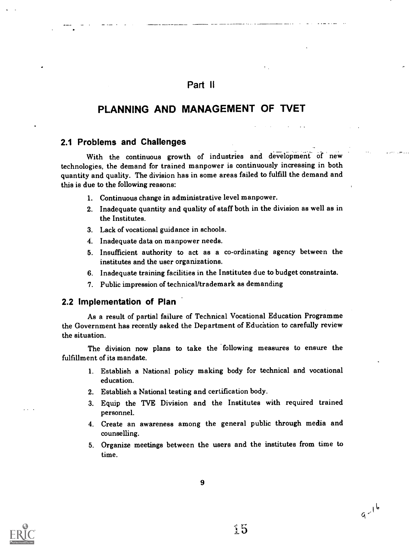## Part II

## PLANNING AND MANAGEMENT OF TVET

## 2.1 Problems and Challenges

With the continuous growth of industries and development of new technologies, the demand for trained manpower is continuously increasing in both quantity and quality. The division has in some areas failed to fulfill the demand and this is due to the following reasons:

- 1. Continuous change in administrative level manpower.
- 2. Inadequate quantity and quality of staff both in the division as well as in the Institutes.
- 3. Lack of vocational guidance in schools.
- 4. Inadequate data on manpower needs.
- 5. Insufficient authority to act as a co-ordinating agency between the institutes and the user organizations.
- 6. Inadequate training facilities in the Institutes due to budget constraints.
- 7. Public impression of technical/trademark as demanding

#### 2.2 Implementation of Plan

As a result of partial failure of Technical Vocational Education Programme the Government has recently asked the Department of Education to carefully review the situation.

The division now plans to take the following measures to ensure the fulfillment of its mandate.

- 1. Establish a National policy making body for technical and vocational education.
- 2. Establish a National testing and certification body.
- 3. Equip the TVE Division and the Institutes with required trained personnel.
- 4. Create an awareness among the general public through media and counselling.
- 5. Organize meetings between the users and the institutes from time to time.

15

 $9 - 16$ 

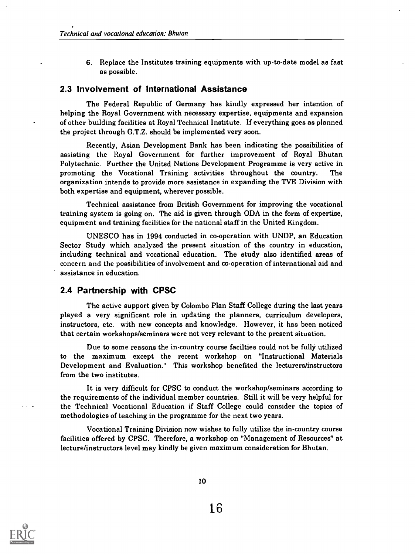6. Replace the Institutes training equipments with up-to-date model as fast as possible.

#### 2.3 Involvement of International Assistance

The Federal Republic of Germany has kindly expressed her intention of helping the Royal Government with necessary expertise, equipments and expansion of other building facilities at Royal Technical Institute. If everything goes as planned the project through G.T.Z. should be implemented very soon.

Recently, Asian Development Bank has been indicating the possibilities of assisting the Royal Government for further improvement of Royal Bhutan Polytechnic. Further the United Nations Development Programme is very active in promoting the Vocational Training activities throughout the country. The organization intends to provide more assistance in expanding the TVE Division with both expertise and equipment, wherever possible.

Technical assistance from British Government for improving the vocational training system is going on. The aid is given through ODA in the form of expertise, equipment and training facilities for the national staff in the United Kingdom.

UNESCO has in 1994 conducted in co-operation with UNDP, an Education Sector Study which analyzed the present situation of the country in education, including technical and vocational education. The study also identified areas of concern and the possibilities of involvement and co-operation of international aid and assistance in education.

## 2.4 Partnership with CPSC

The active support given by Colombo Plan Staff College during the last years played a very significant role in updating the planners, curriculum developers, instructors, etc. with new concepts and knowledge. However, it has been noticed that certain workshops/seminars were not very relevant to the present situation.

Due to some reasons the in-country course facilties could not be fully utilized to the maximum except the recent workshop on "Instructional Materials Development and Evaluation." This workshop benefited the lecturers/instructors from the two institutes.

It is very difficult for CPSC to conduct the workshop/seminars according to the requirements of the individual member countries. Still it will be very helpful for the Technical Vocational Education if Staff College could consider the topics of methodologies of teaching in the programme for the next two years.

Vocational Training Division now wishes to fully utilize the in-country course facilities offered by CPSC. Therefore, a workshop on "Management of Resources" at lecture/instructors level may kindly be given maximum consideration for Bhutan.

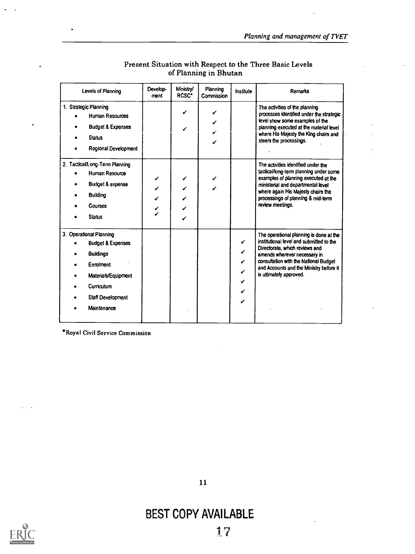| Levels of Planning                                                                                                                                                | Develop-<br>ment | <b>Ministry/</b><br>RCSC <sup>*</sup> | Planning<br><b>Commission</b> | Institute                       | Remarks                                                                                                                                                                                                                                                              |
|-------------------------------------------------------------------------------------------------------------------------------------------------------------------|------------------|---------------------------------------|-------------------------------|---------------------------------|----------------------------------------------------------------------------------------------------------------------------------------------------------------------------------------------------------------------------------------------------------------------|
| 1. Strategic Planning<br><b>Human Resources</b><br><b>Budget &amp; Expenses</b><br><b>Status</b><br><b>Regional Development</b>                                   |                  | ✔<br>✔                                |                               |                                 | The activities of the planning<br>processes identified under the strategic<br>level show some examples of the<br>planning executed at the material level<br>where His Majesty the King chairs and<br>steers the processings.                                         |
| 2. Tactical/Long-Term Planning<br><b>Human Resource</b><br><b>Budget &amp; expense</b><br><b>Building</b><br><b>Courses</b><br><b>Status</b>                      |                  | ✔<br>✓<br>✔<br>✓<br>✓                 |                               |                                 | The activities identified under the<br>tactical/long-term planning under some<br>examples of planning executed at the<br>ministerial and departmental level<br>where again His Majesty chairs the<br>processings of planning & mid-term<br>review meetings.          |
| 3. Operational Planning<br><b>Budget &amp; Expenses</b><br><b>Buildings</b><br>Enrolment<br>Materials/Equipment<br>Curriculum<br>Staff Development<br>Maintenance |                  |                                       |                               | ✔<br>✔<br>✔<br>✓<br>✓<br>✔<br>✔ | The operational planning is done at the<br>institutional level and submitted to the<br>Directorate, which reviews and<br>amends wherever necessary in<br>consultation with the National Budget<br>and Accounts and the Ministry before it<br>is ultimately approved. |

## Present Situation with Respect to the Three Basic Levels of Planning in Bhutan

\*Royal Civil Service Commission



# BEST COPY AVAILABLE



 $\ddot{\phantom{a}}$  .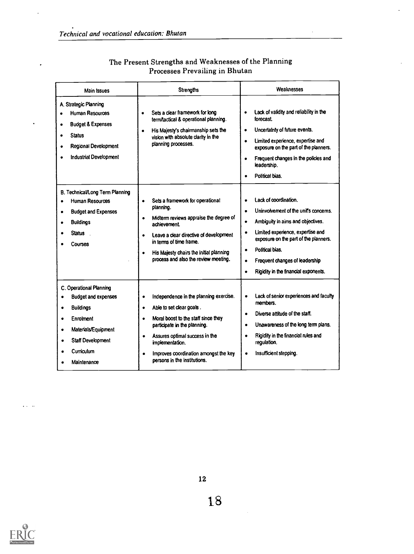$\ddot{\phantom{0}}$ 

 $\cdot$ 

.

| Main Issues                                                                                                                                                                                   | <b>Strengths</b>                                                                                                                                                                                                                                                                                                                 | Weaknesses                                                                                                                                                                                                                                                                                                                                                   |
|-----------------------------------------------------------------------------------------------------------------------------------------------------------------------------------------------|----------------------------------------------------------------------------------------------------------------------------------------------------------------------------------------------------------------------------------------------------------------------------------------------------------------------------------|--------------------------------------------------------------------------------------------------------------------------------------------------------------------------------------------------------------------------------------------------------------------------------------------------------------------------------------------------------------|
| A. Strategic Planning<br><b>Human Resources</b><br><b>Budget &amp; Expenses</b><br>٠<br><b>Status</b><br><b>Regional Development</b><br><b>Industrial Development</b>                         | Sets a clear framework for long<br>$\bullet$<br>term/lactical & operational planning.<br>His Majesty's chairmanship sets the<br>vision with absolute clarity in the<br>planning processes.                                                                                                                                       | Lack of validity and reliability in the<br>$\bullet$<br>forecast<br>Uncertainty of future events.<br>$\bullet$<br>Limited experience, expertise and<br>$\bullet$<br>exposure on the part of the planners.<br>Frequent changes in the policies and<br>$\bullet$<br>leadership.<br>Political bias.<br>$\bullet$                                                |
| B. Technical/Long Term Planning<br>Human Resources<br><b>Budget and Expenses</b><br>٠<br><b>Buildings</b><br>$\bullet$<br><b>Status</b><br>Courses                                            | Sets a framework for operational<br>$\bullet$<br>planning.<br>Midterm reviews appraise the degree of<br>$\bullet$<br>achievement.<br>Leave a clear directive of development<br>$\bullet$<br>in terms of time frame.<br>His Majesty chairs the initial planning<br>$\bullet$<br>process and also the review meeting.              | Lack of coordination.<br>$\bullet$<br>Uninvolvement of the unit's concerns.<br>$\bullet$<br>Ambiguity in aims and objectives.<br>$\bullet$<br>Limited experience, expertise and<br>$\bullet$<br>exposure on the part of the planners.<br>Political bias.<br>Frequent changes of leadership<br>$\bullet$<br>Rigidity in the financial exponents.<br>$\bullet$ |
| C. Operational Planning<br><b>Budget and expenses</b><br><b>Buildings</b><br>$\bullet$<br>Enrolment<br>٠<br>Materials/Equipment<br>٠<br><b>Staff Development</b><br>Curriculum<br>Maintenance | Independence in the planning exercise.<br>٠<br>Able to set clear goals.<br>$\bullet$<br>Moral boost to the staff since they<br>$\bullet$<br>participate in the planning.<br>Assures optimal success in the<br>$\bullet$<br>implementation.<br>Improves coordination amongst the key<br>$\bullet$<br>persons in the institutions. | Lack of senior experiences and faculty<br>members.<br>Diverse attitude of the staff.<br>$\bullet$<br>Unawareness of the long term plans.<br>$\bullet$<br>Rigidity in the financial rules and<br>regulation.<br>Insufficient stepping.<br>$\bullet$                                                                                                           |

## The Present Strengths and Weaknesses of the Planning Processes Prevailing in Bhutan



 $\alpha$  is  $\beta$  . Then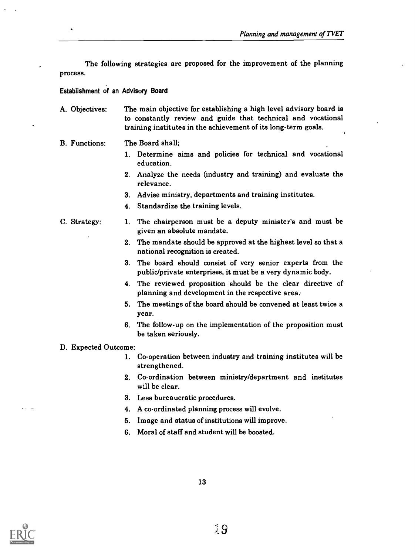The following strategies are proposed for the improvement of the planning process.

#### Establishment of an Advisory Board

A. Objectives: The main objective for establishing a high level advisory board is to constantly review and guide that technical and vocational training institutes in the achievement of its long-term goals.

#### B. Functions: The Board shall;

- 1. Determine aims and policies for technical and vocational education.
- 2. Analyze the needs (industry and training) and evaluate the relevance.
- 3. Advise ministry, departments and training institutes.
- 4. Standardize the training levels.
- C. Strategy: 1. The chairperson must be a deputy minister's and must be given an absolute mandate.
	- 2. The mandate should be approved at the highest level so that a national recognition is created.
	- 3. The board should consist of very senior experts from the public/private enterprises, it must be a very dynamic body.
	- 4. The reviewed proposition should be the clear directive of planning and development in the respective area.
	- 5. The meetings of the board should be convened at least twice a year.
	- 6. The follow-up on the implementation of the proposition must be taken seriously.

#### D. Expected Outcome:

- 1. Co-operation between industry and training institutes will be strengthened.
- 2. Co-ordination between ministry/department and institutes will be clear.
- 3. Less bureaucratic procedures.
- 4. A co-ordinated planning process will evolve.
- 5. Image and status of institutions will improve.
- 6. Moral of staff and student will be boosted.

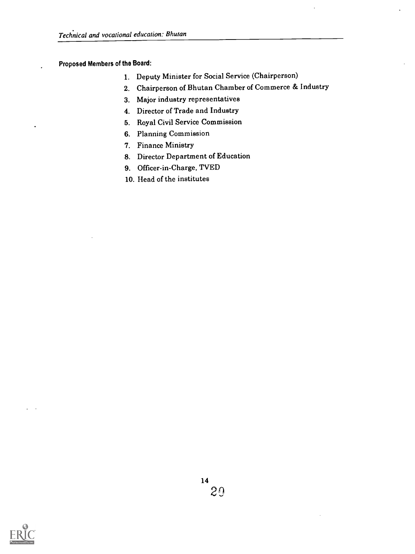## Proposed Members of the Board:

- 1. Deputy Minister for Social Service (Chairperson)
- 2. Chairperson of Bhutan Chamber of Commerce & Industry
- 3. Major industry representatives
- 4. Director of Trade and Industry
- 5. Royal Civil Service Commission
- 6. Planning Commission
- 7. Finance Ministry
- 8. Director Department of Education
- 9. Officer-in-Charge, TVED
- 10. Head of the institutes

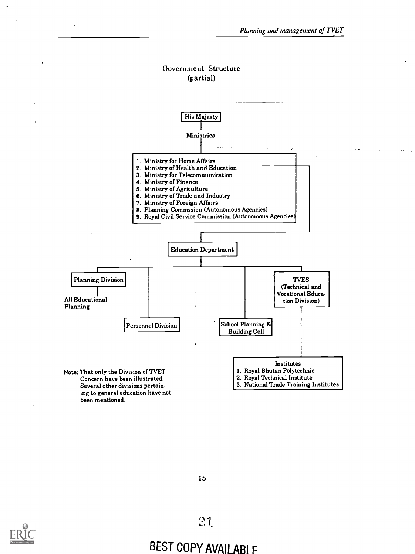## Government Structure (partial)







## BEST COPY AVAILABLE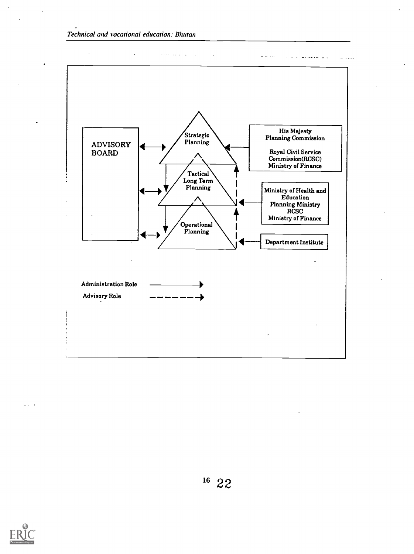



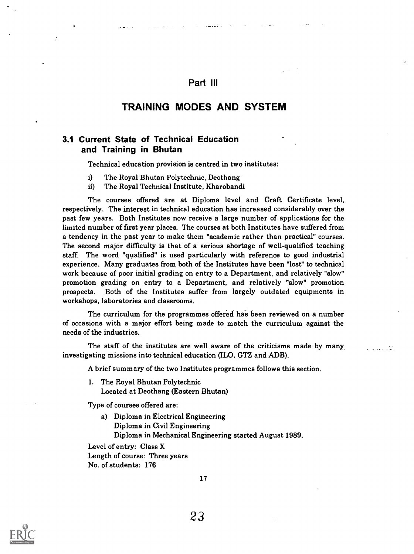## Part Ill

## TRAINING MODES AND SYSTEM

## 3.1 Current State of Technical Education and Training in Bhutan

Technical education provision is centred in two institutes:

- i) The Royal Bhutan Polytechnic, Deothang
- ii) The Royal Technical Institute, Kharobandi

The courses offered are at Diploma level and Craft Certificate level, respectively. The interest in technical education has increased considerably over the past few years. Both Institutes now receive a large number of applications for the limited number of first year places. The courses at both Institutes have suffered from a tendency in the past year to make them "academic rather than practical" courses. The second major difficulty is that of a serious shortage of well-qualified teaching staff. The word "qualified" is used particularly with reference to good industrial experience. Many graduates from both of the Institutes have been "lost" to technical work because of poor initial grading on entry to a Department, and relatively "slow" promotion grading on entry to a Department, and relatively "slow" promotion prospects. Both of the Institutes suffer from largely outdated equipments in workshops, laboratories and classrooms.

The curriculum for the programmes offered has been reviewed on a number of occasions with a major effort being made to match the curriculum against the needs of the industries.

The staff of the institutes are well aware of the criticisms made by many. investigating missions into technical education (ILO, GTZ and ADB).

**Contract Contract** 

A brief summary of the two Institutes programmes follows this section.

1. The Royal Bhutan Polytechnic Located at Deothang (Eastern Bhutan)

Type of courses offered are:

a) Diploma in Electrical Engineering Diploma in Civil Engineering Diploma in Mechanical Engineering started August 1989.

Level of entry: Class X Length of course: Three years No. of students: 176

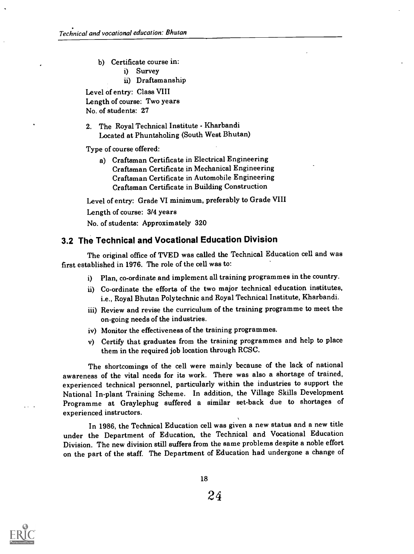- b) Certificate course in:
	- i) Survey
	- ii) Draftsmanship

Level of entry: Class VIII Length of course: Two years No. of students: 27

2. The Royal Technical Institute - Kharbandi Located at Phuntsholing (South West Bhutan)

Type of course offered:

a) Craftsman Certificate in Electrical Engineering Craftsman Certificate in Mechanical Engineering Craftsman Certificate in Automobile Engineering Craftsman Certificate in Building Construction

Level of entry: Grade VI minimum, preferably to Grade VIII

Length of course: 3/4 years

No. of students: Approximately 320

## 3.2 The Technical and Vocational Education Division

The original office of TVED was called the Technical Education cell and was first established in 1976. The role of the cell was to:

- i) Plan, co-ordinate and implement all training programmes in the country.
- ii) Co-ordinate the efforts of the two major technical education institutes, i.e., Royal Bhutan Polytechnic and Royal Technical Institute, Kharbandi.
- iii) Review and revise the curriculum of the training programme to meet the on-going needs of the industries.
- iv) Monitor the effectiveness of the training programmes.
- v) Certify that graduates from the training programmes and help to place them in the required job location through RCSC.

The shortcomings of the cell were mainly because of the lack of national awareness of the vital needs for its work. There was also a shortage of trained, experienced technical personnel, particularly within the industries to support the National In-plant Training Scheme. In addition, the Village Skills Development Programme at Graylephug suffered a similar set-back due to shortages of experienced instructors.

In 1986, the Technical Education cell was given a new status and a new title under the Department of Education, the Technical and Vocational Education Division. The new division still suffers from the same problems despite a noble effort on the part of the staff. The Department of Education had undergone a change of

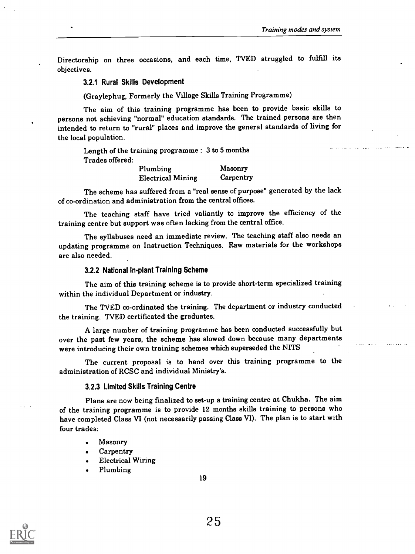Directorship on three occasions, and each time, TVED struggled to fulfill its objectives.

#### 3.2.1 Rural Skills Development

(Graylephug, Formerly the Village Skills Training Programme)

The aim of this training programme has been to provide basic skills to persons not achieving "normal" education standards. The trained persons are then intended to return to "rural" places and improve the general standards of living for the local population.

Length of the training programme : 3 to 5 months Trades offered:

| Plumbing                 | Masonry   |
|--------------------------|-----------|
| <b>Electrical Mining</b> | Carpentry |

The scheme has suffered from a "real sense of purpose" generated by the lack of co-ordination and administration from the central offices.

The teaching staff have tried valiantly to improve the efficiency of the training centre but support was often lacking from the central office.

The syllabuses need an immediate review. The teaching staff also needs an updating programme on Instruction Techniques. Raw materials for the workshops are also needed.

### 3.2.2 National In-plant Training Scheme

The aim of this training scheme is to provide short-term specialized training within the individual Department or industry.

The TVED co-ordinated the training. The department or industry conducted the training. TVED certificated the graduates.

A large number of training programme has been conducted successfully but over the past few years, the scheme has slowed down because many departments were introducing their own training schemes which superseded the NITS

The current proposal is to hand over this training programme to the administration of RCSC and individual Ministry's.

#### 3.2.3 Limited Skills Training Centre

Plans are now being finalized to set-up a training centre at Chukha. The aim of the training programme is to provide 12 months skills training to persons who have completed Class VI (not necessarily passing Class VI). The plan is to start with four trades:

- Masonry
- Carpentry
- Electrical Wiring
- Plumbing

19

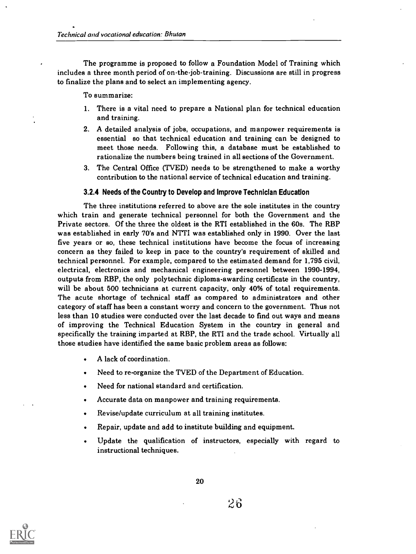The programme is proposed to follow a Foundation Model of Training which includes a three month period of on-the-job-training. Discussions are still in progress to finalize the plans and to select an implementing agency.

To summarize:

- 1. There is a vital need to prepare a National plan for technical education and training.
- 2. A detailed analysis of jobs, occupations, and manpower requirements is essential so that technical education and training can be designed to meet those needs. Following this, a database must be established to rationalize the numbers being trained in all sections of the Government.
- 3. The Central Office (TVED) needs to be strengthened to make a worthy contribution to the national service of technical education and training.

#### 3.2.4 Needs of the Country to Develop and Improve Technician Education

The three institutions referred to above are the sole institutes in the country which train and generate technical personnel for both the Government and the Private sectors. Of the three the oldest is the RTI established in the 60s. The RBP was established in early 70's and NTTI was established only in 1990. Over the last five years or so, these technical institutions have become the focus of increasing concern as they failed to keep in pace to the country's requirement of skilled and technical personnel. For example, compared to the estimated demand for 1,795 civil, electrical, electronics and mechanical engineering personnel between 1990-1994, outputs from RBP, the only polytechnic diploma-awarding certificate in the country, will be about 500 technicians at current capacity, only 40% of total requirements. The acute shortage of technical staff as compared to administrators and other category of staff has been a constant worry and concern to the government. Thus not less than 10 studies were conducted over the last decade to find out ways and means of improving the Technical Education System in the country in general and specifically the training imparted at RBP, the RTI and the trade school. Virtually all those studies have identified the same basic problem areas as follows:

- A lack of coordination.
- Need to re-organize the TVED of the Department of Education.
- Need for national standard and certification.
- Accurate data on manpower and training requirements.
- Revise/update curriculum at all training institutes.
- Repair, update and add to institute building and equipment.
- Update the qualification of instructors, especially with regard to instructional techniques.



20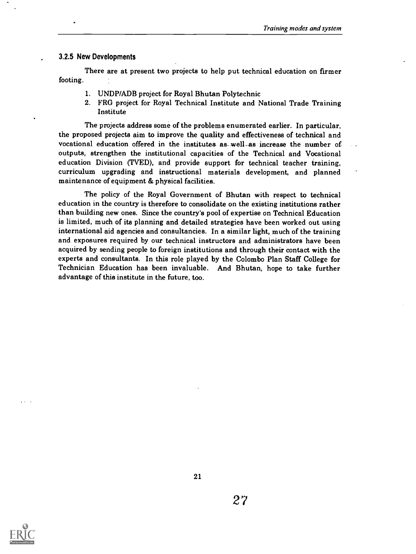#### 3.2.5 New Developments

There are at present two projects to help put technical education on firmer footing.

- 1. UNDP/ADB project for Royal Bhutan Polytechnic
- 2. FRG project for Royal Technical Institute and National Trade Training Institute

The projects address some of the problems enumerated earlier. In particular, the proposed projects aim to improve the quality and effectiveness of technical and vocational education offered in the institutes as well-as increase the number ofoutputs, strengthen the institutional capacities of the Technical and Vocational education Division (TVED), and provide support for technical teacher training, curriculum upgrading and instructional materials development, and planned maintenance of equipment & physical facilities.

The policy of the Royal Government of Bhutan with respect to technical education in the country is therefore to consolidate on the existing institutions rather than building new ones. Since the country's pool of expertise on Technical Education is limited, much of its planning and detailed strategies have been worked out using international aid agencies and consultancies. In a similar light, much of the training and exposures required by our technical instructors and administrators have been acquired by sending people to foreign institutions and through their contact with the experts and consultants. In this role played by the Colombo Plan Staff College for Technician Education has been invaluable. And Bhutan, hope to take further advantage of this institute in the future, too.

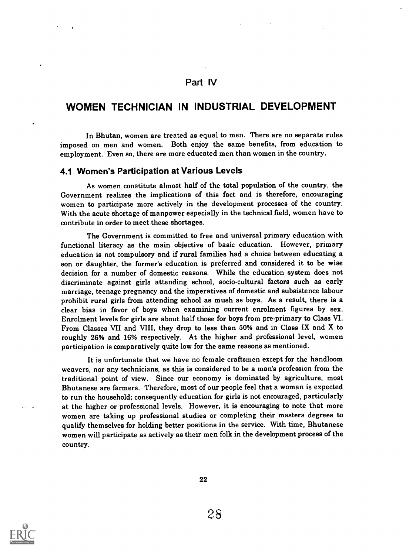## Part IV

## WOMEN TECHNICIAN IN INDUSTRIAL DEVELOPMENT

In Bhutan, women are treated as equal to men. There are no separate rules imposed on men and women. Both enjoy the same benefits, from education to employment. Even so, there are more educated men than women in the country.

#### 4.1 Women's Participation at Various Levels

As women constitute almost half of the total population of the country, the Government realizes the implications of this fact and is therefore, encouraging women to participate more actively in the development processes of the country. With the acute shortage of manpower especially in the technical field, women have to contribute in order to meet these shortages.

The Government is committed to free and universal primary education with functional literacy as the main objective of basic education. However, primary education is not compulsory and if rural families had a choice between educating a son or daughter, the former's education is preferred and considered it to be wise decision for a number of domestic reasons. While the education system does not discriminate against girls attending school, socio-cultural factors such as early marriage, teenage pregnancy and the imperatives of domestic and subsistence labour prohibit rural girls from attending school as mush as boys. As a result, there is a clear bias in favor of boys when examining current enrolment figures by sex. Enrolment levels for girls are about half those for boys from pre-primary to Class VI. From Classes VII and VIII, they drop to less than 50% and in Class IX and X to roughly 26% and 16% respectively. At the higher and professional level, women participation is comparatively quite low for the same reasons as mentioned.

It is unfortunate that we have no female craftsmen except for the handloom weavers, nor any technicians, as this is considered to be a man's profession from the traditional point of view. Since our economy is dominated by agriculture, most Bhutanese are farmers. Therefore, most of our people feel that a woman is expected to run the household; consequently education for girls is not encouraged, particularly at the higher or professional levels. However, it is encouraging to note that more women are taking up professional studies or completing their masters degrees to qualify themselves for holding better positions in the service. With time, Bhutanese women will participate as actively as their men folk in the development process of the country.

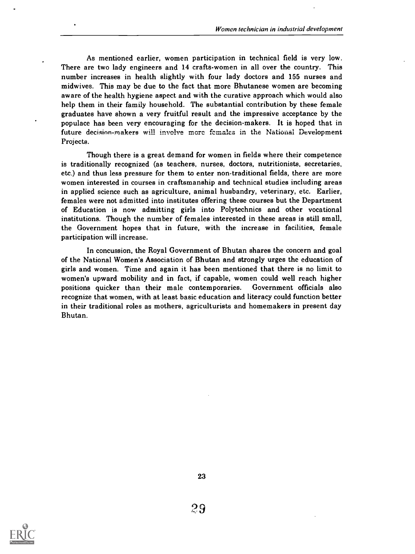As mentioned earlier, women participation in technical field is very low. There are two lady engineers and 14 crafts-women in all over the country. This number increases in health slightly with four lady doctors and 155 nurses and midwives. This may be due to the fact that more Bhutanese women are becoming aware of the health hygiene aspect and with the curative approach which would also help them in their family household. The substantial contribution by these female graduates have shown a very fruitful result and the impressive acceptance by the populace has been very encouraging for the decision-makers. It is hoped that in future decision-makers will involve more females in the National Development Projects.

Though there is a great demand for women in fields where their competence is traditionally recognized (as teachers, nurses, doctors, nutritionists, secretaries, etc.) and thus less pressure for them to enter non-traditional fields, there are more women interested in courses in craftsmanship and technical studies including areas in applied science such as agriculture, animal husbandry, veterinary, etc. Earlier, females were not admitted into institutes offering these courses but the Department of Education is now admitting girls into Polytechnics and other vocational institutions. Though the number of females interested in these areas is still small, the Government hopes that in future, with the increase in facilities, female participation will increase.

In concussion, the Royal Government of Bhutan shares the concern and goal of the National Women's Association of Bhutan and strongly urges the education of girls and women. Time and again it has been mentioned that there is no limit to women's upward mobility and in fact, if capable, women could well reach higher positions quicker than their male contemporaries. Government officials also recognize that women, with at least basic education and literacy could function better in their traditional roles as mothers, agriculturists and homemakers in present day Bhutan.

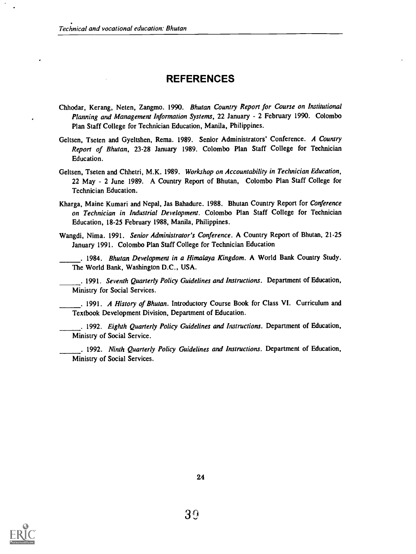## REFERENCES

- Chhodar, Kerang, Neten, Zangmo. 1990. Bhutan Country Report for Course on Institutional Planning and Management Information Systems, 22 January - 2 February 1990. Colombo Plan Staff College for Technician Education, Manila, Philippines.
- Geltsen, Tseten and Gyeltshen, Rema. 1989. Senior Administrators' Conference. A Country Report of Bhutan, 23-28 January 1989. Colombo Plan Staff College for Technician Education.
- Geltsen, Tseten and Chhetri, M.K. 1989. Workshop on Accountability in Technician Education, 22 May - 2 June 1989. A Country Report of Bhutan, Colombo Plan Staff College for Technician Education.
- Kharga, Maine Kumari and Nepal, Jas Bahadure. 1988. Bhutan Country Report for Conference on Technician in Industrial Development. Colombo Plan Staff College for Technician Education, 18-25 February 1988, Manila, Philippines.
- Wangdi, Nima. 1991. Senior Administrator's Conference. A Country Report of Bhutan, 21-25 January 1991. Colombo Plan Staff College for Technician Education
- . 1984. Bhutan Development in a Himalaya Kingdom. A World Bank Country Study. The World Bank, Washington D.C., USA.

. 1991. Seventh Quarterly Policy Guidelines and Instructions. Department of Education, Ministry for Social Services.

. 1991. A History of Bhutan. Introductory Course Book for Class VI. Curriculum and Textbook Development Division, Department of Education.

. 1992. Eighth Quarterly Policy Guidelines and Instructions. Department of Education, Ministry of Social Service.

. 1992. Ninth Quarterly Policy Guidelines and Instructions. Department of Education, Ministry of Social Services.